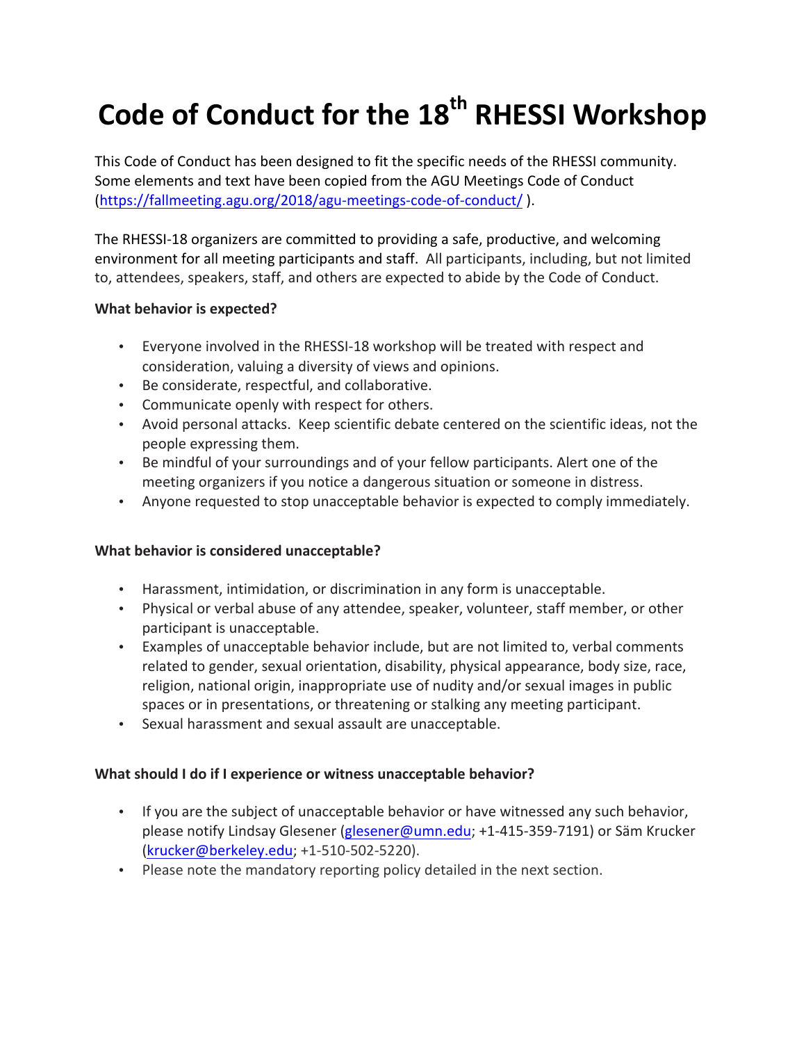# **Code of Conduct for the 18<sup>th</sup> RHESSI Workshop**

This Code of Conduct has been designed to fit the specific needs of the RHESSI community. Some elements and text have been copied from the AGU Meetings Code of Conduct (https://fallmeeting.agu.org/2018/agu-meetings-code-of-conduct/ ).

The RHESSI-18 organizers are committed to providing a safe, productive, and welcoming environment for all meeting participants and staff. All participants, including, but not limited to, attendees, speakers, staff, and others are expected to abide by the Code of Conduct.

#### **What behavior is expected?**

- Everyone involved in the RHESSI-18 workshop will be treated with respect and consideration, valuing a diversity of views and opinions.
- Be considerate, respectful, and collaborative.
- Communicate openly with respect for others.
- Avoid personal attacks. Keep scientific debate centered on the scientific ideas, not the people expressing them.
- Be mindful of your surroundings and of your fellow participants. Alert one of the meeting organizers if you notice a dangerous situation or someone in distress.
- Anyone requested to stop unacceptable behavior is expected to comply immediately.

## **What behavior is considered unacceptable?**

- Harassment, intimidation, or discrimination in any form is unacceptable.
- Physical or verbal abuse of any attendee, speaker, volunteer, staff member, or other participant is unacceptable.
- Examples of unacceptable behavior include, but are not limited to, verbal comments related to gender, sexual orientation, disability, physical appearance, body size, race, religion, national origin, inappropriate use of nudity and/or sexual images in public spaces or in presentations, or threatening or stalking any meeting participant.
- Sexual harassment and sexual assault are unacceptable.

## What should I do if I experience or witness unacceptable behavior?

- If you are the subject of unacceptable behavior or have witnessed any such behavior, please notify Lindsay Glesener (glesener@umn.edu; +1-415-359-7191) or Säm Krucker (krucker@berkeley.edu; +1-510-502-5220).
- Please note the mandatory reporting policy detailed in the next section.